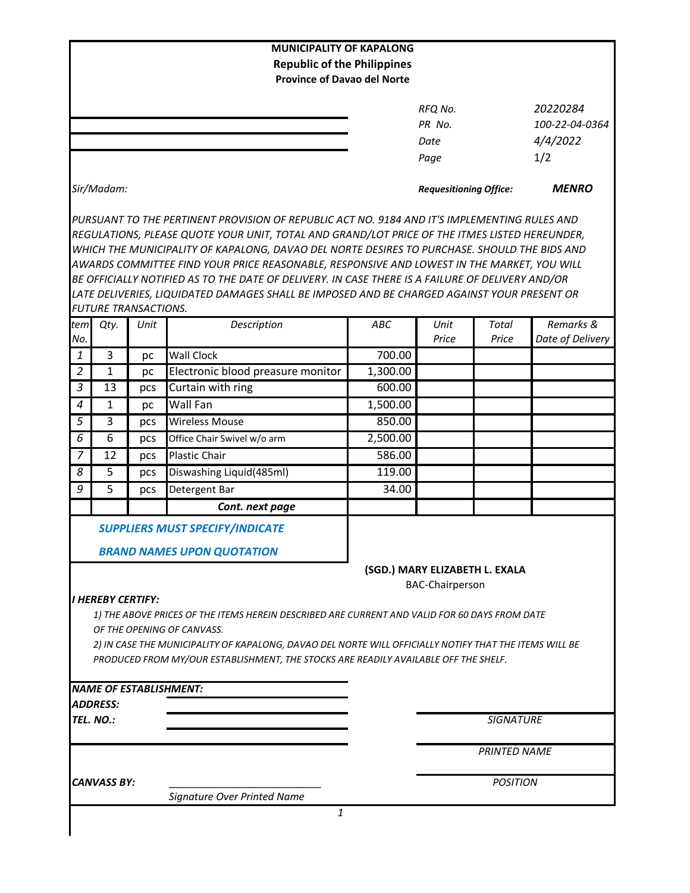|                                     |                             |      | <b>MUNICIPALITY OF KAPALONG</b><br><b>Republic of the Philippines</b><br><b>Province of Davao del Norte</b>                                                                                                                                                                                                                                                                                                                                                                                                                                                                                    |                                                                                                                                                                                                                                                                     |                                   |                                               |                  |
|-------------------------------------|-----------------------------|------|------------------------------------------------------------------------------------------------------------------------------------------------------------------------------------------------------------------------------------------------------------------------------------------------------------------------------------------------------------------------------------------------------------------------------------------------------------------------------------------------------------------------------------------------------------------------------------------------|---------------------------------------------------------------------------------------------------------------------------------------------------------------------------------------------------------------------------------------------------------------------|-----------------------------------|-----------------------------------------------|------------------|
|                                     |                             |      |                                                                                                                                                                                                                                                                                                                                                                                                                                                                                                                                                                                                |                                                                                                                                                                                                                                                                     | RFQ No.<br>PR No.<br>Date<br>Page | 20220284<br>100-22-04-0364<br>4/4/2022<br>1/2 |                  |
|                                     | Sir/Madam:                  |      |                                                                                                                                                                                                                                                                                                                                                                                                                                                                                                                                                                                                |                                                                                                                                                                                                                                                                     | <b>Requesitioning Office:</b>     |                                               | <b>MENRO</b>     |
|                                     | <b>FUTURE TRANSACTIONS.</b> |      | PURSUANT TO THE PERTINENT PROVISION OF REPUBLIC ACT NO. 9184 AND IT'S IMPLEMENTING RULES AND<br>REGULATIONS, PLEASE QUOTE YOUR UNIT, TOTAL AND GRAND/LOT PRICE OF THE ITMES LISTED HEREUNDER,<br>WHICH THE MUNICIPALITY OF KAPALONG, DAVAO DEL NORTE DESIRES TO PURCHASE. SHOULD THE BIDS AND<br>AWARDS COMMITTEE FIND YOUR PRICE REASONABLE, RESPONSIVE AND LOWEST IN THE MARKET, YOU WILL<br>BE OFFICIALLY NOTIFIED AS TO THE DATE OF DELIVERY. IN CASE THERE IS A FAILURE OF DELIVERY AND/OR<br>LATE DELIVERIES, LIQUIDATED DAMAGES SHALL BE IMPOSED AND BE CHARGED AGAINST YOUR PRESENT OR |                                                                                                                                                                                                                                                                     |                                   |                                               |                  |
| tem                                 | Qty.                        | Unit | Description                                                                                                                                                                                                                                                                                                                                                                                                                                                                                                                                                                                    | ABC                                                                                                                                                                                                                                                                 | Unit                              | Total                                         | Remarks &        |
| No.                                 |                             |      |                                                                                                                                                                                                                                                                                                                                                                                                                                                                                                                                                                                                |                                                                                                                                                                                                                                                                     | Price                             | Price                                         | Date of Delivery |
| 1                                   | 3                           | pc   | Wall Clock                                                                                                                                                                                                                                                                                                                                                                                                                                                                                                                                                                                     | 700.00                                                                                                                                                                                                                                                              |                                   |                                               |                  |
| $\overline{2}$                      | $\mathbf{1}$                | pc   | Electronic blood preasure monitor                                                                                                                                                                                                                                                                                                                                                                                                                                                                                                                                                              | 1,300.00                                                                                                                                                                                                                                                            |                                   |                                               |                  |
| 3                                   | 13                          | pcs  | Curtain with ring                                                                                                                                                                                                                                                                                                                                                                                                                                                                                                                                                                              | 600.00                                                                                                                                                                                                                                                              |                                   |                                               |                  |
| 4                                   | $\mathbf{1}$                | рc   | Wall Fan                                                                                                                                                                                                                                                                                                                                                                                                                                                                                                                                                                                       | 1,500.00                                                                                                                                                                                                                                                            |                                   |                                               |                  |
| 5                                   | 3                           | pcs  | <b>Wireless Mouse</b>                                                                                                                                                                                                                                                                                                                                                                                                                                                                                                                                                                          | 850.00                                                                                                                                                                                                                                                              |                                   |                                               |                  |
| 6                                   | 6                           | pcs  | Office Chair Swivel w/o arm                                                                                                                                                                                                                                                                                                                                                                                                                                                                                                                                                                    | 2,500.00                                                                                                                                                                                                                                                            |                                   |                                               |                  |
| 7                                   | 12                          | pcs  | <b>Plastic Chair</b>                                                                                                                                                                                                                                                                                                                                                                                                                                                                                                                                                                           | 586.00                                                                                                                                                                                                                                                              |                                   |                                               |                  |
| 8                                   | 5                           | pcs  | Diswashing Liquid(485ml)                                                                                                                                                                                                                                                                                                                                                                                                                                                                                                                                                                       | 119.00                                                                                                                                                                                                                                                              |                                   |                                               |                  |
| 9                                   | 5                           | pcs  | Detergent Bar                                                                                                                                                                                                                                                                                                                                                                                                                                                                                                                                                                                  | 34.00                                                                                                                                                                                                                                                               |                                   |                                               |                  |
|                                     |                             |      | Cont. next page                                                                                                                                                                                                                                                                                                                                                                                                                                                                                                                                                                                |                                                                                                                                                                                                                                                                     |                                   |                                               |                  |
|                                     | <b>I HEREBY CERTIFY:</b>    |      | <b>SUPPLIERS MUST SPECIFY/INDICATE</b><br><b>BRAND NAMES UPON QUOTATION</b><br>OF THE OPENING OF CANVASS.<br>PRODUCED FROM MY/OUR ESTABLISHMENT, THE STOCKS ARE READILY AVAILABLE OFF THE SHELF.                                                                                                                                                                                                                                                                                                                                                                                               | (SGD.) MARY ELIZABETH L. EXALA<br><b>BAC-Chairperson</b><br>1) THE ABOVE PRICES OF THE ITEMS HEREIN DESCRIBED ARE CURRENT AND VALID FOR 60 DAYS FROM DATE<br>2) IN CASE THE MUNICIPALITY OF KAPALONG, DAVAO DEL NORTE WILL OFFICIALLY NOTIFY THAT THE ITEMS WILL BE |                                   |                                               |                  |
|                                     |                             |      | <b>NAME OF ESTABLISHMENT:</b>                                                                                                                                                                                                                                                                                                                                                                                                                                                                                                                                                                  |                                                                                                                                                                                                                                                                     |                                   |                                               |                  |
| <i><b>ADDRESS:</b></i><br>TEL. NO.: |                             |      |                                                                                                                                                                                                                                                                                                                                                                                                                                                                                                                                                                                                |                                                                                                                                                                                                                                                                     |                                   | <b>SIGNATURE</b>                              |                  |
|                                     |                             |      |                                                                                                                                                                                                                                                                                                                                                                                                                                                                                                                                                                                                |                                                                                                                                                                                                                                                                     |                                   | <b>PRINTED NAME</b>                           |                  |
|                                     |                             |      |                                                                                                                                                                                                                                                                                                                                                                                                                                                                                                                                                                                                |                                                                                                                                                                                                                                                                     |                                   |                                               |                  |
|                                     | <b>CANVASS BY:</b>          |      |                                                                                                                                                                                                                                                                                                                                                                                                                                                                                                                                                                                                |                                                                                                                                                                                                                                                                     |                                   | <b>POSITION</b>                               |                  |